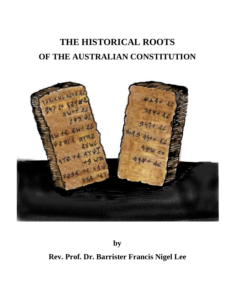

**by**

**Rev. Prof. Dr. Barrister Francis Nigel Lee**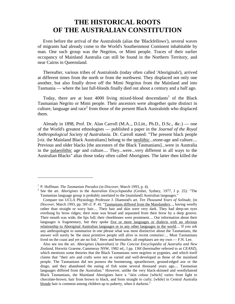Even before the arrival of the Australoids (alias the 'Blackfellows'), several waves of migrants had already come to the World's Southernmost Continent inhabitable by man. One such group was the Negritos, or Mimi people. Traces of their earlier occupancy of Mainland Australia can still be found in the Northern Territory, and near Cairns in Queensland.

Thereafter, various tribes of Australoids (today often called 'Aboriginals'), arrived at different times from the north or from the northwest. They displaced not only one another, but also finally drove off the Mimi Negritos from the Mainland and into Tasmania — where the last full-bloods finally died out about a century and a half ago.

Today, there are at least 4000 living mixed-blood descendants<sup>1</sup> of the Black Tasmanian Negrito or Mimi people. Their ancestors were altogether quite distinct in culture, language and race<sup>2</sup> from those of the present Black Australoids who displaced them.

Already in 1898, Prof. Dr. Alan Carroll (M.A.., D.Litt., Ph.D., D.Sc., *&c.*) — one of the World's greatest ethnologists — published a paper in the *Journal of the Royal Anthropological Society of Australasia*. Dr. Carroll stated: "The present black people [*viz*. the Mainland Black Australians] belong to the neolithic...stone-age and culture.... Previous and older blacks [the ancestors of the Black Tasmanians]...were in Australia in the palaeolithic age and culture.... They...were...very different in all ways to the Australian Blacks" alias those today often called Aborigines. The latter then killed the

<sup>&</sup>lt;sup>1</sup> P. Hoffman: *The Tasmanian Paradox* (in *Discover*, March 1993, p. 4).<br><sup>2</sup> See the art. *Aborigines* in the *Australian Encyclopaedia* (Grolier, Sydney, 1977, I p. 25): "The Tasmanian language group is probably unrelated to the [mainland] Australian languages."

Compare too UCLA Physiology Professor J. Diamond's art. *Ten Thousand Years of Solitude*, (in *Discover*, March 1993, pp. 50f cf. P. 4): "Tasmanians differed from the Mainlanders..., having woolly rather than straight or wavy hair.... Their hair and skin were very dark. They had deep-set eyes overhung by brow ridges; their nose was broad and separated from their brow by a deep groove. Their mouth was wide, the lips full; their cheekbones were prominent.... Our information about their languages is fragmentary, but they spoke five or more languages or dialects with no obvious relationship to Aboriginal Australian languages or to any other languages in the world.... If you ask any anthropologist to summarize in one phrase what was most distinctive about the Tasmanians, the answer will surely be 'the most primitive people still alive in recent centuries'.... Most Tasmanians lived on the coast and yet ate no fish." Here and hereinafter, all emphases are my own — F.N. Lee.

Also see too the art. *Aborigines* (*Australian*) in *The Concise Encyclopedia of Australia and New Zealand*, Horwitz Graeme, Cammeray NSW, 1982 ed., I pp. 136f (hereinafter referred to as *CEANZ*), which mentions some theories that the Black Tasmanians were negritos or pygmies, and which itself claims that "their arts and crafts were not as varied and well-developed as those of the mainland people. The Tasmanians did not possess the boomerang, spearthrower, ground-edged axe or the dingo, and they abandoned the eating of fish some several thousand years ago.... Tasmanian languages differed from the Australian." However, unlike the very black-skinned and woollyhaired Black Tasmanians, the Mainland Aborigines have a "skin colour [which] varies from light to chocolate-brown; hair from brown to black, and from straight to curly; [while] in Central Australia blonde hair is common among children up to puberty, when it darkens."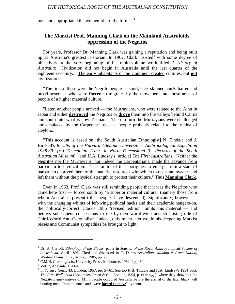men and appropriated the womenfolk of the former.<sup>3</sup>

# **The Marxist Prof. Manning Clark on the Mainland Australoids' oppression of the Negritos**

For years, Professor Dr. Manning Clark was gaining a reputation and being built up as Australia's greatest Historian. In 1962, Clark insisted<sup>4</sup> with some degree of objectivity at the very beginning of his multi-volume work titled *A History of Australia*: "Civilization did not begin in Australia until the last quarter of the eighteenth century.... The early inhabitants of the Continent created cultures, but **not** civilizations.

"The first of these were the Negrito people — short, dark-skinned, curly-haired and broad-nosed — who were **forced** to migrate...by the movement into those areas of people of a higher material culture....

"Later, another people arrived — the Murrayians, who were related to the Ainu in Japan and either **destroyed** the Negritos or **drove** them into the valleys behind Cairns and south into what is now Tasmania. Then in turn the Murrayians were challenged and displaced by the Carpentarians — a people probably related to the Vedda of Ceylon....

"This account is based on [the South Australian Ethnologist] N. Tindale and J. Birdsell's *Results of the Harvard-Adelaide Universities' Anthropological Expedition 1938-39: [re] Tasmanian Tribes in North Queensland* (in *Records of the South* Australian Museum),<sup>5</sup> and H.A. Lindsay's [article] *The First Australians*.<sup>6</sup> Neither the Negritos nor the Murrayians, nor indeed the Carpentarians, made the advance from barbarism to civilization.... The failure of the aborigines to emerge from a state of barbarism deprived them of the material resources with which to resist an invader, and left them without the physical strength to protect their culture." Thus **Manning Clark**.

Even in 1963, Prof. Clark was still reminding people that it was the Negritos who came here first — forced south by "a superior material culture" (namely those from whom Australia's present tribal peoples have descended). Significantly, however with the changing whims of left-wing political hacks and their academic hangers-on, the 'politically-correct' Clark's 1986 "revised...edition" omits this material — and betrays subsequent concessions to the by-then world-wide and still-rising tide of Third-World Anti-Colonialism. Indeed, only much later would his deepening Marxist biases and Communist sympathies be brought to light.

<sup>3</sup> Dr. A. Carroll: *Ethnology of the Blacks*, paper in *Journal of the Royal Anthropological Society of Australasia*, April 1898. Cited and discussed in T. Dare's *Australians Making a Great Nation*,

<sup>&</sup>lt;sup>4</sup> C.M.H. Clark: *op. cit.*, University Press, Melbourne, 1962, I pp. 3f.<br><sup>5</sup> Vol. 7, Adelaide, 1941-43.<br><sup>6</sup> In *Science News*, 43, London, 1957, pp. 54-61. See too N.B. Tindale and H.A. Lindsay's 1954 book *The First Walkabout* (Longmans Green & Co., London, 1954, p. xi & *sqq.*), where they show that the Negrito pygmy natives or Mimi people occupied Australia before the arrival of the later black "tall hunting men" from the north and "were **forced to move**" by them.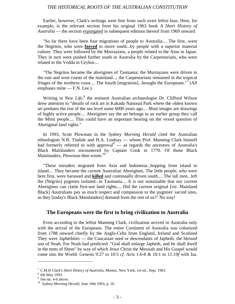Earlier, however, Clark's writings were free from such overt leftist bias. Here, for example, is the relevant section from his original 1963 book *A Short History of Australia* — the section expurgated in subsequent editions thereof from 1969 onward:

"So far there have been four migrations of people to Australia.... The first...were the Negritos, who were **forced** to move south...by people with a superior material culture. They were followed by the Murrayians, a people related to the Ainu in Japan. They in turn were pushed further south in Australia by the Carpentarians, who were related to the Vedda in Ceylon....

"The Negritos became the aborigines of Tasmania; the Murrayians were driven to the east and west coasts of the mainland...; the Carpentarians remained in the tropical fringes of the northern coast.... The fourth [migration]...brought the Europeans."<sup>7</sup> (All emphases mine — F.N. Lee.)

Writing in *New Life*,<sup>8</sup> the eminent Australian archaeologist Dr. Clifford Wilson drew attention to "details of rock art in Kakadu National Park where the oldest known art predates the rise of the sea level some 6000 years ago.... Most images are drawings of highly active people.... Aborigines say the art belongs to an earlier group they call the Mimi people.... This could have an important bearing on the vexed question of Aboriginal land rights."

In 1993, Scott Plowman in the *Sydney Morning Herald* cited the Australian ethnologists N.B. Tindale and H.A. Lindsay — whom Prof. Manning Clark himself had formerly referred to with approval  $\overline{a}$  as regards the ancestors of Australia's Black Mainlanders encountered by Captain Cook in 1770. Of those Black Mainlanders, Plowman then wrote:<sup>10</sup>

"These intruders migrated from Asia and Indonesia...hopping from island to island.... They became the current Australian Aborigines. The little people, who were here first, were harassed and **killed** and continually driven south.... The tall men...left the [Negrito] pygmies isolated...in Tasmania.... It is not sustainable that our current Aborigines can claim first-use land rights.... Did the current original [*viz.* Mainland Black] Australians pay as much respect and compassion to the pygmies' sacred sites, as they [today's Black Mainlanders] demand from the rest of us?" No way!

#### **The Europeans were the first to bring civilization to Australia**

Even according to the leftist Manning Clark, civilization arrived in Australia only with the arrival of the Europeans. The entire Continent of Australia was colonized from 1788 onward chiefly by the Anglo-Celts from England, Ireland and Scotland They were Japhethites — the Caucasian seed or descendants of Japheth, the blessed son of Noah. For Noah had predicted: "God shall enlarge Japheth, and he shall dwell in the tents of Shem" by way of which Jesus Christ the Messiah and His Gospel would come into the World. Genesis 9:27 to 10:5 *cf*. Acts 1:6-8 & 10:1 to 11:19*f* with Isa.

<sup>&</sup>lt;sup>7</sup> C.M.H Clark's *Short History of Australia*, Mentor, New York, 1st ed., Sept. 1963.<br><sup>8</sup> 6th May 1993.<br><sup>9</sup> See nn. 4-6 above.<br><sup>10</sup> *Sydney Morning Herald*, June 10th 1993, p. 16.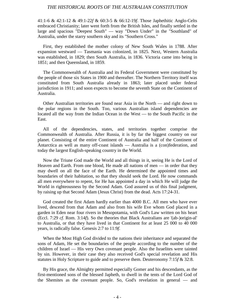41:1-6 & 42:1-12 & 49:1-22*f* & 60:3-5 & 66:12-19*f*. Those Japhethitic Anglo-Celts embraced Christianity; later went forth from the British Isles, and finally settled in the large and spacious "Deepest South" — way "Down Under" in the "Southland" of Australia, under the starry southern sky and its "Southern Cross."

First, they established the mother colony of New South Wales in 1788. After expansion westward — Tasmania was colonized, in 1825. Next, Western Australia was established, in 1829; then South Australia, in 1836. Victoria came into being in 1851; and then Queensland, in 1859.

The Commonwealth of Australia and its Federal Government were constituted by the people of those six States in 1900 and thereafter. The Northern Territory itself was constituted from South Australia already in 1863; later placed under federal jurisdiction in 1911; and soon expects to become the seventh State on the Continent of Australia.

Other Australian territories are found near Asia in the North — and right down to the polar regions in the South. Too, various Australian island dependencies are located all the way from the Indian Ocean in the West — to the South Pacific in the East.

All of the dependencies, states, and territories together comprise the Commonwealth of Australia. After Russia, it is by far the biggest country on our planet. Consisting of the entire Continent of Australia and half of the Continent of Antarctica as well as many off-coast islands — Australia is a (con)federation, and today the largest English-speaking country in the World.

Now the Triune God made the World and all things in it, seeing He is the Lord of Heaven and Earth. From one blood, He made all nations of men — in order that they may dwell on all the face of the Earth. He determined the appointed times and boundaries of their habitation, so that they should seek the Lord. He now commands all men everywhere to repent, for He has appointed a day in which He will judge the World in righteousness by the Second Adam. God assured us of this final judgment, by raising up that Second Adam (Jesus Christ) from the dead. Acts 17:24-31.

God created the first Adam hardly earlier than 4000 B.C. All men who have ever lived, descend from that Adam and also from his wife Eve whom God placed in a garden in Eden near four rivers in Mesopotamia, with God's Law written on his heart (Eccl. 7:29 *cf*. Rom. 3:14*f*). So the theories that Black Australians are '(ab-)origin-al' to Australia, or that they have lived in that Continent for at least 25 000 to 40 000 years, is radically false. Genesis 2:7 to 11:9*f*.

When the Most High God divided to the nations their inheritance and separated the sons of Adam, He set the boundaries of the people according to the number of the children of Israel — His very Own covenant people. Also the Israelites were tainted by sin. However, in their case they also received God's special revelation and His statutes in Holy Scripture to guide and to preserve them. Deuteronomy 7:15*f* & 32:8.

By His grace, the Almighty permitted especially Gomer and his descendants, as the first-mentioned sons of the blessed Japheth, to dwell in the tents of the Lord God of the Shemites as the covenant people. So, God's revelation in general — and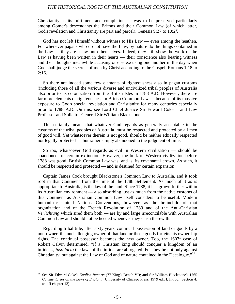Christianity as its fulfilment and completion — was to be preserved particularly among Gomer's descendants the Britons and their Common Law (of which latter, God's revelation and Christianity are part and parcel). Genesis 9:27 to 10:2*f*.

God has not left Himself without witness to His Law — even among the heathen. For whenever pagans who do not have the Law, by nature do the things contained in the Law — they are a law unto themselves. Indeed, they still show the work of the Law as having been written in their hearts — their conscience also bearing witness and their thoughts meanwhile accusing or else excusing one another in the day when God shall judge the secrets of men by Christ according to the Gospel. Romans 1:18 to 2:16.

So there are indeed some few elements of righteousness also in pagan customs (including those of all the various diverse and uncivilized tribal peoples of Australia also prior to its colonization from the British Isles in 1788 A.D. However, there are far more elements of righteousness in British Common Law — because of its massive exposure to God's special revelation and Christianity for many centuries especially prior to 1788 A.D. On this, see Lord Chief Justice Sir Edward Coke —and Law Professor and Solicitor-General Sir William Blackstone.

This certainly means that whatever God regards as generally acceptable in the customs of the tribal peoples of Australia, must be respected and protected by all men of good will. Yet whatsoever therein is not good, should be neither ethically respected nor legally protected — but rather simply abandoned to the judgment of time.

So too, whatsoever God regards as evil in Western civilization — should be abandoned for certain extinction. However, the bulk of Western civilization before 1788 was good. British Common Law was, and is, its covenantal crown. As such, it should be respected and protected — and is destined for certain expansion.

Captain James Cook brought Blackstone's Common Law to Australia, and it took root in that Continent from the time of the 1788 Settlement. As much of it as is appropriate to Australia, is the law of the land. Since 1788, it has grown further within its Australian environment — also absorbing just as much from the native customs of this Continent as Australian Common Law itself considers to be useful. Modern humanistic United Nations' Conventions, however, as the brainchild of that organization and of the French Revolution of 1789 and of the Anti-Christian *Verlichtung* which sired them both — are by and large irreconcilable with Australian Common Law and should not be heeded whenever they clash therewith.

Regarding tribal title, after sixty years' continual possession of land or goods by a non-owner, the unchallenging owner of that land or those goods forfeits his ownership rights. The continual possessor becomes the new owner. Too, the 1607f case of Robert Calvin determined: "If a Christian king should conquer a kingdom of an infidel..., *ipso facto* the laws of the infidel are abrogated. For they be not only against Christianity; but against the Law of God and of nature contained in the Decalogue."<sup>11</sup>

<sup>11</sup> See Sir Edward Coke's *English Reports* (77 King's Bench VI); and Sir William Blackstone's 1765 *Commentaries on the Laws of England* (University of Chicago Press, 1979 ed., I, Introd., Section 4; and II chapter 13).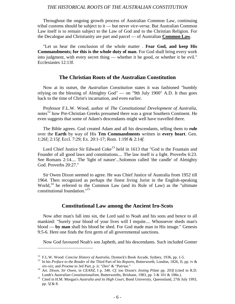Throughout the ongoing growth process of Australian Common Law, continuing tribal customs should be subject to it — but never *vice-versa*. But Australian Common Law itself is to remain subject to the Law of God and to the Christian Religion. For the Decalogue and Christianity are part and parcel — of Australian **Common Law**.

"Let us hear the conclusion of the whole matter . **Fear God, and keep His Commandments; for this is the whole duty of man**. For God shall bring every work into judgment, with every secret thing — whether it be good, or whether it be evil." Ecclesiastes 12:13f.

#### **The Christian Roots of the Australian Constitution**

Now at its outset, the *Australian Constitution* states it was fashioned "humbly relying on the blessing of Almighty God" — on "9th July 1900" A.D. It thus goes back to the time of Christ's incarnation, and even earlier.

Professor F.L.W. Wood, author of *The Constitutional Development of Australia*, notes $12$  how Pre-Christian Greeks presumed there was a great Southern Continent. He even suggests that some of Adam's descendants might well have travelled there.

The Bible agrees. God created Adam and all his descendants, telling them to **rule** over the **Earth** by way of His **Ten Commandments** written in **every heart**. Gen. 1:26f; 2:15*f*; Eccl. 7:29; Ex. 20:1-17; Rom. 1:19f & 2:14*f*.

Lord Chief Justice Sir Edward Coke<sup>13</sup> held in 1613 that "God is the Fountain and Founder of all good laws and constitutions.... The law itself is a light. Proverbs 6:23. See Romans 2:14.... The 'light of nature'...Solomon called 'the candle' of Almighty God. Proverbs 20:27."

Sir Owen Dixon seemed to agree. He was Chief Justice of Australia from 1952 till 1964. Then recognized as perhaps the finest living Jurist in the English-speaking World,<sup>14</sup> he referred to the Common Law (and its Rule of Law) as the "ultimate constitutional foundation."15

#### **Constitutional Law among the Ancient Iro-Scots**

Now after man's fall into sin, the Lord said to Noah and his sons and hence to all mankind: "Surely your blood of your lives will I requite.... Whosoever sheds man's blood — **by man** shall his blood be shed. For God made man in His image." Genesis 9:5-6. Here one finds the first germ of all governmental sanctions.

Now God favoured Noah's son Japheth, and his descendants. Such included Gomer

<sup>&</sup>lt;sup>12</sup> F.L.W. Wood: *Concise History of Australia*, Dymock's Book Arcade, Sydney, 1936, pp. 1-5.<br><sup>13</sup> In his *Preface to the Reader* of the Third Part of his *Reports*, Butterworth, London, 1826, II, pp. iv & xiv-xix; and *Proeme* to 3rd Part, p. ii: "*Deo*" & "*Patriae*." <sup>14</sup> Art. *Dixon, Sir Owen*, in *CEANZ*, I p. 340. *Cf*. too Dixon's *Jesting Pilate* pp. 203*f* (cited in R.D.

Lumb's *Australian Constitutionalism*, Butterworths, Brisbane, 1983, pp. 3 & 101 & 108n.). <sup>15</sup> Cited in H.M. Morgan's *Australia and its High Court*, Bond University, Queensland, 27th July 1993,

pp. 5*f* & 8.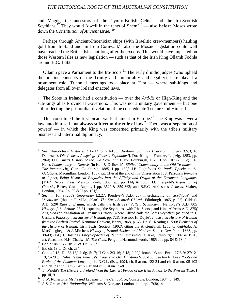and Magog, the ancestors of the Cymro-British Celts<sup>16</sup> and the Iro-Scottish Scythians.17 They would "dwell in the tents of Shem"18 — also **before** Moses wrote down the *Constitution of Ancient Israel*. 19

Perhaps through Ancient-Phoenician ships (with Israelitic crew-members) hauling gold from Ire-land and tin from Cornwall,<sup>20</sup> also the Mosaic legislation could well have reached the British Isles not long after the exodus. This would have impacted on those Western Isles as new legislation — such as that of the Irish King Ollamh Fodhla around B.C. 1383.

Ollamh gave a Parliament to the Iro-Scots.<sup>21</sup> The early druidic judges (who upheld the pristine concepts of the Trinity and immortality and legality), here played a prominent role. Triennial meetings took place at Tara — where sub-kings and delegates from all over Ireland enacted laws.

The Scots in Ireland had a constitution — over the *Ard-Ri* or High-King and the sub-kings alias Provincial Governors. This was not a unitary government — but one still reflecting the primordial revelation of the con-federate Tri-une God Himself.

This constituted the first bicameral Parliament in Europe.<sup>22</sup> The King was never a law unto him-self, but **always subject to the rule of law**. 23 There was a 'separation of powers' — in which the King was concerned primarily with the tribe's military business and intertribal diplomacy.

<sup>16</sup> See: Herodotus's *Histories* 4:1-214 & 7:1-165; Diodorus Siculus's *Historical Library* 3:5:3; F. Delitzsch's *Die Genesis Ausgelegt* [*Genesis Expounded*], Doerffling u. Francke, Leipzig, 1853, pp. 284f; J.H. Kurtz's *History of the Old Covenant*, Clark, Edinburgh, 1870, I pp. 107 & 115f; C.F. Keil's *Commentary on Genesis* (in Keil & Delitzsch's *Biblical Commentary on the Old Testament — The Pentateuch*), Clark, Edinburgh, 1885, I pp. 159*f*; J.B. Lightfoot's *St. Paul's Epistle to the Galatians*, Macmillan, London, 1887, pp. 1f & at the end of his 'Dissertation I'; J. Parsons's *Remains of Japhet, Being Historical Enquiries into the Affinity and Origin of the European Languages* [1767], Scolar Press, Menston York, 1968 rep., pp. 114*f* & 139*f*; H.C. Leupold's *Exposition of Genesis*, Baker, Grand Rapids, I pp. 352*f* & 359-362; and B.F.C. Atkinson's *Genesis*, Walter, London, 1954, I p. 99 & II pp. 101*f*.<br><sup>17</sup> See: n. 16; Strabo's *Geography* I:2,27; Porphyry's A.D. 267 interchanging of "*Scythicae*" and

<sup>&</sup>quot;*Scotticae*" (thus in T. M'Laughlan's *The Early Scottish Church*, Edinburgh, 1865, p. 22); Gildas's A.D. 520*f Ruin of Britain*, which calls the Irish Sea "*Vallem Scythicam*"; Nenni(us)'s A.D. 805 *History of the Britons* 25-31, equating "the Scythians" with "the Scots"; and King Alfred's A.D. 875*f* Anglo-Saxon translation of Orosius's *History*, where Alfred calls the Scots *Scyt-than* (as cited in J. Ussher's *Philosophical Survey of Ireland*, pp. 72f). See too: H. Doyle's *Illustrated History of Ireland from the Earliest Period*, Kenmore Convent, Kerry, 1868, p. 68; Dr. G. Keating's 1590*f Elements of the History of Ireland*, Irish Texts, Society, 1902*f*, citing the Ancient-Irish *Leabhar Gabhala*; A. MacGoeghegan & J. Mitchel's *History of Ireland Ancient and Modern*, Sadler, New York, 1868, pp. 39-43; (Ed.) J. Hastings' *Encyclopaedia of Religion and Ethics*, Clarke, Edinburgh, 1907 & 1920, art. Picts; and N.K. Chadwick's *The Celts*, Penguin, Harmondsworth, 1985 ed., pp. 84 & 134*f*.<br><sup>18</sup> Gen. 9:18-27 & 10:1-5 cf. Dt. 32:8*f*.<br><sup>19</sup> Ex. ch. 19 to Dt. ch. 28*f*.<br><sup>20</sup> Gen. 49:13; Dt. 33:18*f*; Judg. 5:17; II Ch

<sup>19,25-29</sup> *cf.* Rufus Festus Avienus's *Fragmenta Ora Maritima* V:98-100. See too N. Lee's *Roots and Fruits of the Common Law*, unpub. D.C.L. diss., 1994, ch. 5 at nn. 122-24 and ch. 6 at nn. 95-103

and ch. 7 at nn. 36f & 54f & 61f and ch. 8 at nn. 75-81. <sup>21</sup> T. Wright's *The History of Ireland from the Earliest Period of the Irish Annals to the Present Time*, I pp. iii, 9. <sup>22</sup> T.W. Rolleston's *Myths and Legends of the Celtic Race*, Constable, London, 1984, p. 149. <sup>23</sup> A.S. Green: *Irish Nationality*, Williams & Norgate, London, n.d., pp. 17*f*,8*f*,14.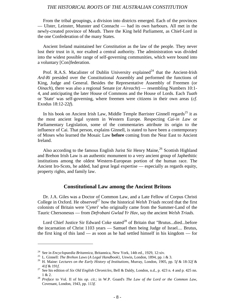From the tribal groupings, a division into districts emerged. Each of the provinces — Ulster, Leinster, Munster and Connacht — had its own harbours. All met in the newly-created province of Meath. There the King held Parliament, as Chief-Lord in the one Confederation of the many States.

Ancient Ireland maintained her *Constitution* as the law of the people. They never lost their trust in it, nor exalted a central authority. The administration was divided into the widest possible range of self-governing communities, which were bound into a voluntary [Con]federation.

Prof. R.A.S. Macalister of Dublin University explained<sup>24</sup> that the Ancient-Irish *Ard-Ri* presided over the Constitutional Assembly and performed the functions of King, Judge and General. Besides the Representative Assembly of Freemen (or *Oinach*), there was also a regional Senate (or *Aireacht*) — resembling Numbers 10:1- 4, and anticipating the later House of Commons and the House of Lords. Each *Tuath* or 'State' was self-governing, where freemen were citizens in their own areas (*cf*. Exodus 18:12-22*f*).

In his book on Ancient Irish Law, Middle Temple Barrister Ginnell regards<sup>25</sup> it as the most ancient legal system in Western Europe. Respecting *Cai-in Law* or Parliamentary Legislation, some of the commentaries attribute its origin to the influence of Cai. That person, explains Ginnell, is stated to have been a contemporary of Moses who learned the Mosaic Law **before** coming from the Near East to Ancient Ireland.

Also according to the famous English Jurist Sir Henry Maine,<sup>26</sup> Scottish Highland and Brehon Irish Law is an authentic monument to a very ancient group of Japhethitic institutions among the oldest Western-European portion of the human race. The Ancient Iro-Scots, he added, had great legal expertise — especially as regards equity, property rights, and family law.

#### **Constitutional Law among the Ancient Britons**

Dr. J.A. Giles was a Doctor of Common Law, and a Late Fellow of Corpus Christi College in Oxford. He observed<sup>27</sup> how the historical *Welsh Triads* record that the first colonists of Britain were '*Cymri*' who originally came from the Summer-Land of the Tauric Chersonesus — from *Defrobani Gwlad Yr Hav*, say the ancient *Welsh Triads*.

Lord Chief Justice Sir Edward Coke stated<sup>28</sup> of Britain that "Brutus...died...before the incarnation of Christ 1103 years — Samuel then being Judge of Israel.... Brutus, the first king of this land — as soon as he had settled himself in his kingdom — for

<sup>&</sup>lt;sup>24</sup> See in *Encyclopaedia Britannica*, Britannica, New York, 14th ed., 1929, 12:xiv.<br><sup>25</sup> L. Ginnell: *The Brehon Laws* (*A Legal Handbook*}, Unwin, London, 1894, pp. i & 3.<br><sup>26</sup> H. Maine: *Lectures on the Early History* 

<sup>41</sup>*f* & 191*f*. <sup>27</sup> See his edition of *Six Old English Chronicles*, Bell & Daldy, London, n.d., p. 423 n. 4 and p. 425 nn.

<sup>1 &</sup>amp; 2. <sup>28</sup> *Preface* to Vol. II of his *op. cit.*; in W.P. Goard's *The Law of the Lord or the Common Law*, Covenant, London, 1943, pp. 113*f*.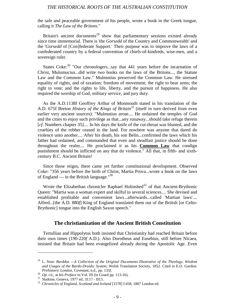the safe and peaceable government of his people, wrote a book in the Greek tongue, calling it *The Law of the Britons*."

Britain's ancient documents<sup>29</sup> show that parliamentary sessions existed already since time immemorial. There is 'the *Gorsedd* of the Country and Commonwealth' and the '*Gorsedd* of [Con]federate Support.' Their purpose was to improve the laws of a confederated country by a federal convention of chiefs-of-kindreds, wise-men, and a sovereign ruler.

States Coke: $30$  "Our chronologers...say that 441 years before the incarnation of Christ, Mulumucius...did write two books on the laws of the Britons..., the Statute Law and the Common Law." Mulmutius preserved the Common Law. He stressed equality of rights, and of taxation; freedom of movement; the right to bear arms; the right to vote; and the rights to life, liberty, and the pursuit of happiness. He also required the worship of God, military service, and jury duty.

As the A.D.1138f Geoffrey Arthur of Monmouth stated in his translation of the A.D. 675f Breton *History of the Kings of Britain*31 (itself in turn derived from even earlier very ancient sources): "Mulmutius arose.... He ordained the temples of God and the cities to enjoy such privilege as that...any runaway...should take refuge therein [*cf*. Numbers chapter 35].... In his days the knife of the cut-throat was blunted, and the cruelties of the robber ceased in the land. For nowhere was anyone that dared do violence unto another.... After his death, his son Belin...confirmed the laws which his father had ordained, and commanded that even and steadfast justice should be done throughout the realm.... He proclaimed it as his **Common Law** that condign punishment should be inflicted on any that do violence." All that, in fifth- and sixthcentury B.C. Ancient Britain!

Since those reigns, there came yet further constitutional development. Observed Coke: "356 years before the birth of Christ, Martia Prova...wrote a book on the laws of England — in the British language. $130$ 

Wrote the Elizabethan chronicler Raphael Holinshed<sup>32</sup> of that Ancient-Brythonic Queen: "Martia was a woman expert and skilful in several sciences.... She devised and established profitable and convenient laws...afterwards...called 'Martian laws'.... Alfred...[the A.D. 880*f*] King of England translated them out of the British [or Celto-Brythonic] tongue into the English Saxon speech."

#### **The christianization of the Ancient British Constitution**

Tertullian and Hippolytus both insisted that Christianity had reached Britain before their own times (190-220*f* A.D.). Also Dorotheus and Eusebius, still before Nicaea, insisted that Britain had been evangelized already during the Apostolic Age. Even

<sup>29</sup> L. Sion: *Barddas —A Collection of the Original Documents Illustrative of the Theology, Wisdom and Usages of the Bardo-Druidic System*, Welsh Translation Society, 1852. Cited in E.O. Gordon:

*Prehistoric London*, Covenant, n.d., pp. 135*f*.<br><sup>30</sup> *Op. cit.*, at his *Preface* to Vol. III (in Goard pp. 113-16).<br><sup>31</sup> Slatkine, Geneva, 1977 ed., II:17 - III:5.<br><sup>32</sup> Chronicles of England, Scotland and Ireland [1578]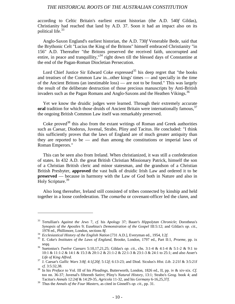according to Celtic Britain's earliest extant historian (the A.D. 540*f* Gildas), Christianity had reached that land by A.D. 37. Soon it had an impact also on its political life. $33$ 

Anglo-Saxon England's earliest historian, the A.D. 730*f* Venerable Bede, said that the Brythonic Celt "Lucius the King of the Britons" himself embraced Christianity "in 156" A.D. Thereafter "the Britons preserved the received faith, uncorrupted and entire, in peace and tranquillity,"<sup>34</sup> right down till the blessed days of Constantine at the end of the Pagan-Roman Diocletian Persecution.

Lord Chief Justice Sir Edward Coke expressed<sup>35</sup> his deep regret that "the books" and treatises of the Common Law in...other kings' times — and specially in the time of the Ancient Britons (an inestimable loss) — are not to be found." This was largely the result of the deliberate destruction of those precious manuscripts by Anti-British invaders such as the Pagan Romans and Anglo-Saxons and the Heathen Vikings.<sup>36</sup>

Yet we know the druidic judges were learned. Through their extremely accurate **oral** tradition for which those druids of Ancient Britain were internationally famous,<sup>37</sup> the ongoing British Common Law itself was remarkably preserved.

Coke proved<sup>38</sup> this also from the extant writings of Roman and Greek authorities such as Caesar, Diodorus, Juvenal, Strabo, Pliny and Tacitus. He concluded: "I think this sufficiently proves that the laws of England are of much greater antiquity than they are reported to be — and than among the constitutions or imperial laws of Roman Emperors."

This can be seen also from Ireland. When christianized, it was still a confederation of states. In 432 A.D. the great British Christian Missionary Patrick, himself the son of a Christian British cleric and minor statesman, and the grandson of a Christian British Presbyter, **approved** the vast bulk of druidic Irish Law and ordered it to be **preserved** — because in harmony with the Law of God both in Nature and also in Holy Scripture.<sup>39</sup>

Also long thereafter, Ireland still consisted of tribes connected by kinship and held together in a loose confederation. The *comarba* or covenant-officer led the c*lann*, and

<sup>33</sup> Tertullian's *Against the Jews* 7, *cf*. his *Apology* 37; Bauer's *Hippolytan Chronicle*; Dorotheus's *Synopsis of the Apostles* 9; Eusebius's *Demonstration of the Gospel* III:5:12; and Gildas's *op. cit.*, 1978 ed., Phillimore, London, sections 8*f*.<br><sup>34</sup> Ecclesiastical History of the English Nation [731 A.D.], Everyman ed., 1954, I:2*f*.<br><sup>35</sup> E. Coke's *Institutes of the Laws of England*, Brooke, London, 1797 ed., Part II:1

*seqq*. <sup>36</sup> Suetonius's *Twelve Caesars* 5:10,17,21,25; Gildas's *op. cit.*, chs. 3:1-4 & 4:1-4 & 5:1-2 & 9:1 to 10:1 & 11:1-2 & 14:1 & 15:3 & 20:1-2 & 21:1-2 & 22:1-3 & 23:1-3 & 24:1 to 25:1; and also Asser's

*Life of King Alfred*. <sup>37</sup> J. Caesar's *Gallic Wars* 3:8*f*; 4:1*f*,20*f*; 5:12*f*; 6:13-23; and Diod. Siculus's *Hist. Lib*. 2:21f & 3:5:21f *cf.* 3:5:32,38. <sup>38</sup> In his *Preface* to Vol. III of his *Pleadings*, Butterworth, London, 1826 ed., II, pp. iv & xiv-xix. *Cf*.

too nn. 36-37; Juvenal's fifteenth *Satire*; Pliny's *Natural History*, 13:1; Strabo's *Geog*. book 4; and Tacitus's *Annals* 12:24*f* & 14:29-35, *Agricola* 11-32, and his *Germany* 6-16,25,37*f*. <sup>39</sup> Thus the *Annals of the Four Masters*, as cited in Ginnell's *op. cit*., pp. 31.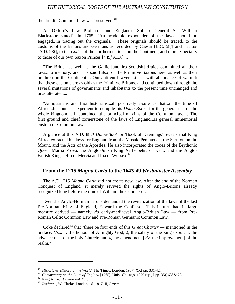the druidic Common Law was preserved.<sup>40</sup>

As Oxford's Law Professor and England's Solicitor-General Sir William Blackstone stated $41$  in 1765: "An academic expounder of the laws...should be engaged...in tracing out the originals.... These originals should be traced...to the customs of the Britons and Germans as recorded by Caesar [B.C. 58*f*] and Tacitus [A.D. 98*f*]; to the *Codes* of the northern nations on the Continent; and more especially to those of our own Saxon Princes [449*f* A.D.]....

"The British as well as the Gallic [and Iro-Scottish] druids committed all their laws...to memory; and it is said [also] of the Primitive Saxons here, as well as their brethren on the Continent.... Our anti-ent lawyers...insist with abundance of warmth that these customs are as old as the Primitive Britons, and continued down through the several mutations of governments and inhabitants to the present time unchanged and unadulterated....

"Antiquarians and first historians...all positively assure us that...in the time of Alfred...he found it expedient to compile his *Dome-Book*...for the general use of the whole kingdom.... It contained...the principal maxims of the Common Law.... The first ground and chief cornerstone of the laws of England...is general immemorial custom or Common Law."

A glance at this A.D. 887*f Dome-Book* or 'Book of Deemings' reveals that King Alfred extracted his laws for England from the Mosaic Pentateuch, the Sermon on the Mount, and the Acts of the Apostles. He also incorporated the codes of the Brythonic Queen Martia Prova; the Anglo-Jutish King Aethelbehrt of Kent; and the Anglo-British Kings Offa of Mercia and Ina of Wessex.<sup>42</sup>

#### **From the 1215** *Magna Carta* **to the 1643-49** *Westminster Assembly*

The A.D 1215 *Magna Carta* did not create new law. After the end of the Norman Conquest of England, it merely revived the rights of Anglo-Britons already recognized long before the time of William the Conqueror.

Even the Anglo-Norman barons demanded the revitalization of the laws of the last Pre-Norman King of England, Edward the Confessor. This in turn had in large measure derived — namely *via* early-mediaeval Anglo-British Law — from Pre-Roman Celtic Common Law and Pre-Roman Germanic Common Law.

Coke declared<sup>43</sup> that "there be four ends of this *Great Charter* — mentioned in the preface. *Viz*.: 1, the honour of Almighty God; 2, the safety of the king's soul; 3, the advancement of the holy Church; and 4, the amendment [*viz.* the improvement] of the realm."

<sup>&</sup>lt;sup>40</sup> Historians' History of the World, The Times, London, 1907. XXI pp. 331-42.<br><sup>41</sup> Commentary on the Laws of England [1765], Univ. Chicago, 1979 rep., I pp. 35f, 63f & 73.<br><sup>42</sup> King Alfred: *Dome-book* 49:8f.<br><sup>43</sup> Insti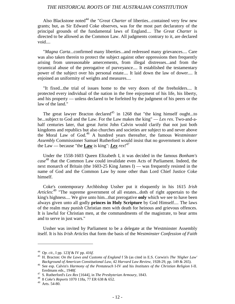Also Blackstone noted<sup>44</sup> the "*Great Charter* of liberties...contained very few new grants; but, as Sir Edward Coke observes, was for the most part declaratory of the principal grounds of the fundamental laws of England.... The *Great Charter* is directed to be allowed as the Common Law. All judgments contrary to it, are declared void....

"*Magna Carta*...confirmed many liberties...and redressed many grievances.... Care was also taken therein to protect the subject against other oppressions then frequently arising from unreasonable amercements, from illegal distresses...and from the tyrannical abuse of the prerogative of purveyance.... It established the testamentary power of the subject over his personal estate.... It laid down the law of dower.... It enjoined an uniformity of weights and measures....

"It fixed...the trial of issues home to the very doors of the freeholders.... It protected every individual of the nation in the free enjoyment of his life, his liberty, and his property — unless declared to be forfeited by the judgment of his peers or the law of the land."

The great lawyer Bracton declared<sup>45</sup> in 1268 that "the king himself ought...to be...subject to God and the Law. For the Law makes the king" — *Lex rex*. Two-and-ahalf centuries later, that great Jurist John Calvin would clarify that not just both kingdoms and republics but also churches and societies are subject to and never above the Moral Law of God.46 A hundred years thereafter, the famous *Westminster Assembly* Commissioner Samuel Rutherford would insist that no government is above the Law — because "the **Law** is king": *Lex rex*! 47

Under the 1558-1603 Queen Elizabeth I, it was decided in the famous *Bonham's case* 48 that the Common Law could invalidate even Acts of Parliament. Indeed, the next monarch of Britain (the 1603-25 King James I) — was frequently resisted in the name of God and the Common Law by none other than Lord Chief Justice Coke himself.

Coke's contemporary Archbishop Ussher put it eloquently in his 1615 *Irish Articles*: 49 "The supreme government of all estates...doth of right appertain to the king's highness.... We give unto him...that prerogative **only** which we see to have been always given unto all godly **princes in Holy Scripture** by God Himself.... The laws of the realm may punish Christian men with death for heinous and grievous offences. It is lawful for Christian men, at the commandments of the magistrate, to bear arms and to serve in just wars."

Ussher was invited by Parliament to be a delegate at the Westminster Assembly itself. It is his *Irish Articles* that form the basis of the *Westminster Confession of Faith*

<sup>44</sup> *Op. cit*., I pp. 123*f* & IV pp. 416*f*. <sup>45</sup> H. Bracton: *On the Laws and Customs of England* f 5b (as cited in E.S. Corwin's *The 'Higher Law'*

*Background of American Constitutional Law*, 42 *Harvard Law Review*, 1928-29, pp. 149 & 265). <sup>46</sup> See esp. Calvin's *Harmony of the Pentateuch* I-IV and his *Institutes of the Christian Religion* I-II.

Eerdmans eds., 1948*f*. <sup>47</sup> S. Rutherford's *Lex Rex* [1644], in *The Presbyterian Armoury*, 1843. <sup>48</sup> <sup>8</sup>*Coke's Reports* 1070 118a, 77 ER 638 & 652.

<sup>49</sup> Arts. 54-80.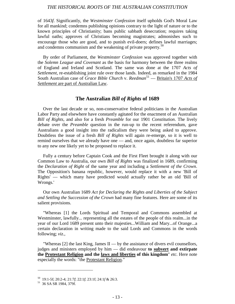of 1643*f*. Significantly, the *Westminster Confession* itself upholds God's Moral Law for all mankind; condemns publishing opinions contrary to the light of nature or to the known principles of Christianity; bans public sabbath desecration; requires taking lawful oaths; approves of Christians becoming magistrates; admonishes such to encourage those who are good, and to punish evil-doers; defines lawful marriages; and condemns communism and the weakening of private property.<sup>50</sup>

By order of Parliament, the *Westminster Confession* was approved together with the *Solemn League and Covenant* as the basis for harmony between the three realms of England and Ireland and Scotland. The same was done at the 1707 *Acts of Settlement*, re-establishing joint rule over those lands. Indeed, as remarked in the 1984 South Australian case of *Grace Bible Church* v. *Reedman*<sup>51</sup> — Britain's 1707 *Acts of Settlement* are part of Australian Law.

#### **The Australian** *Bill of Rights* **of 1689**

Over the last decade or so, non-conservative federal politicians in the Australian Labor Party and elsewhere have constantly agitated for the enactment of an Australian *Bill of Rights*, and also for a fresh *Preamble* for our 1901 *Constitution*. The lively debate over the *Preamble* question in the run-up to the recent referendum, gave Australians a good insight into the radicalism they were being asked to approve. Doubtless the issue of a fresh *Bill of Rights* will again re-emerge, so it is well to remind ourselves that we already have one — and, once again, doubtless far superior to any new one likely yet to be proposed to replace it.

Fully a century before Captain Cook and the First Fleet brought it along with our Common Law to Australia, our own *Bill of Rights* was finalized in 1689, confirming the *Declaration of Right* of the same year and including a *Settlement of the Crown*. The Opposition's banana republic, however, would replace it with a new 'Bill of Rights' — which many have predicted would actually rather be an old 'Bill of Wrongs.'

Our own Australian 1689 *Act for Declaring the Rights and Liberties of the Subject and Settling the Succession of the Crown* had many fine features. Here are some of its salient provisions.

"Whereas [1] the Lords Spiritual and Temporal and Commons assembled at Westminster, lawfully... representing all the estates of the people of this realm...in the year of our Lord 1689 present unto their majesties...William and Mary...of Orange...a certain declaration in writing made to the said Lords and Commons in the words following; *viz.,*

"Whereas [2] the last King, James II — by the assistance of divers evil counsellors, judges and ministers employed by him — did endeavour **to subvert and extirpate the Protestant Religion and the laws and liberties of this kingdom**" *etc.* Here note especially the words: "the Protestant Religion."

<sup>50</sup> 19:1-5f; 20:2-4; 21:7*f*; 22:1*f*; 23:1f; 24:1*f* & 26:3. <sup>51</sup> 36 SA SR 1984, 379f.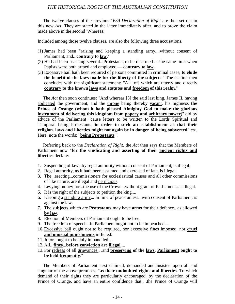The twelve clauses of the previous 1689 *Declaration of Right* are then set out in this new *Act.* They are stated in the latter immediately after, and to prove the claim made above in the second 'Whereas.'

Included among those twelve clauses, are also the following three accusations.

- (1) James had been "raising and keeping a standing army....without consent of Parliament, and...**contrary to law**."
- (2) He had been "causing several...Protestants to be disarmed at the same time when Papists were both armed and employed — **contrary to law**.
- (3) Excessive bail hath been required of persons committed in criminal cases, **to elude the benefit of the laws made for the liberty of the subjects**." The section then concludes with the significant statement: "All [of] which are utterly and directly **contrary to the known laws and statutes and freedom of this realm**."

The *Act* then soon continues: "And whereas [3] the said last king, James II, having abdicated the government, and the throne being thereby vacant, his highness **the Prince of Orange (whom it hath pleased Almighty God to make the glorious instrument of delivering this kingdom from popery and arbitrary power**)" did by advice of the Parliament "cause letters to be written to the Lords Spiritual and Temporal being Protestants...**in order to such an establishment as that their religion. laws and liberties might not again be in danger of being subverted**" *etc.* Here, note the words: "**being Protestants**"!

Referring back to the *Declaration of Right,* the *Act* then says that the Members of Parliament now "**for the vindicating and asserting of their ancient rights and liberties** declare:—

- 1. Suspending of law...by regal authority without consent of Parliament, is illegal.
- 2. Regal authority, as it hath been assumed and exercised of late, is illegal.
- 3. The...erecting...commissioners for ecclesiastical causes and all other commissions of like nature, are illegal and pernicious.
- 4. Levying money for...the use of the Crown...without grant of Parliament...is illegal.
- 5. It is the right of the subjects to petition the king....
- 6. Keeping a standing army... in time of peace unless...with consent of Parliament, is against the law.
- 7. The **subjects** which are **Protestants** may have **arms** for their defence...as allowed **by law**.
- 8. Election of Members of Parliament ought to be free.
- 9. The freedom of speech...in Parliament ought not to be impeached....
- 10. Excessive bail ought not to be required, nor excessive fines imposed, nor **cruel and unusual punishments** inflicted.
- 11. Jurors ought to be duly impanelled....
- 12. All...**fines...before conviction are illegal**....
- 13. For redress of all grievances.. .and **preserving of the laws, Parliament ought to be held frequently**."

The Members of Parliament next claimed, demanded and insisted upon all and singular of the above premises, "**as their undoubted rights and liberties**. To which demand of their rights they are particularly encouraged, by the declaration of the Prince of Orange, and have an entire confidence that.. .the Prince of Orange will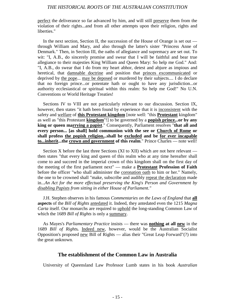perfect the deliverance so far advanced by him, and will still preserve them from the violation of their rights...and from all other attempts upon their religion, rights and liberties."

In the next section, Section II, the succession of the House of Orange is set out through William and Mary, and also through the latter's sister "Princess Anne of Denmark." Then, in Section III, the oaths of allegiance and supremacy are set out. To wit: "I, A.B., do sincerely promise and swear that I will be faithful and bear true allegiance to their majesties King William and Queen Mary: So help me God." And: "I, A.B., do swear that I do from my heart abhor, detest and abjure as impious and heretical, that damnable doctrine and position that princes excommunicated or deprived by the pope... may be deposed or murdered by their subjects.... I do declare that no foreign prince...or potentate hath or ought to have any jurisdiction...or authority ecclesiastical or spiritual within this realm: So help me God!" No U.N. Conventions or World Heritage Treaties!

Sections IV to VIII are not particularly relevant to our discussion. Section IX, however, then states "it hath been found by experience that it is inconsistent with the safety and welfare of **this Protestant kingdom** [note well: "this **Protestant** kingdom" as well as "this Protestant **kingdom**"!] to be governed by a **popish prince...or by any king or queen marrying a papist**." Consequently, Parliament resolves "**that all and every person... [as shall] hold communion with the see or Church of Rome or shall profess the popish religion...shall be excluded and be for ever incapable to...inherit...the crown and government of this realm." Prince Charles — note well!** 

Section X before the last three Sections (XI to XII) which are not here relevant then states "that every king and queen of this realm who at any time hereafter shall come to and succeed in the imperial crown of this kingdom shall on the first day of the meeting of the first parliament next" — make a **Protestant Profession of Faith** before the officer "who shall administer the coronation oath to him or her." Namely, the one to be crowned shall "make, subscribe and audibly repeat the declaration made in...*An Act for the more effectual preserving the King*'*s Person and Government by disabling Papists from sitting in either House of Parliament."*

J.H. Stephen observes in his famous *Commentaries on the Laws of England* that **all aspects** of the *Bill of Rights* antedated it. Indeed, they antedated even the 1215 *Magna Carta* itself. Our monarchs are required to uphold the long-standing Common Law of which the 1689 *Bill of Rights* is only a summary.

As Mayes's *Parliamentary Practice* insists — there was **nothing at all new** in the 1689 *Bill of Rights.* Indeed new, however, would be the Australian Socialist Opposition's proposed new Bill of Rights — alias their "Great Leap Forward"(?) into the great unknown.

#### **The establishment of the Common Law in Australia**

University of Queensland Law Professor Lumb states in his book *Australian*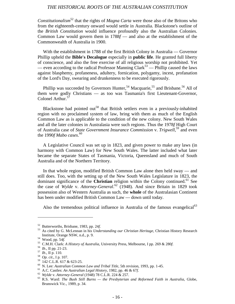*Constitutionalism*52 that the rights of *Magna Carta* were those also of the Britons who from the eighteenth-century onward would settle in Australia. Blackstone's outline of the *British Constitution* would influence profoundly also the Australian Colonies. Common Law would govern them in 1788*f* — and also at the establishment of the Commonwealth of Australia in 1900.

With the establishment in 1788 of the first British Colony in Australia — Governor Phillip upheld the **Bible's Decalogue** especially in **public life**. He granted full liberty of conscience, and also the free exercise of all religious worship not prohibited. Yet — even according to the radical Professor Manning Clark<sup>53</sup> — Phillip caused the laws against blasphemy, profaneness, adultery, fornication, polygamy, incest, profanation of the Lord's Day, swearing and drunkenness to be executed rigorously.

Phillip was succeeded by Governors Hunter,<sup>54</sup> Macquarie,<sup>55</sup> and Brisbane.<sup>56</sup> All of them were godly Christians — as too was Tasmania's first Lieutenant-Governor, Colonel Arthur. $57$ 

Blackstone had pointed out<sup>58</sup> that British settlers even in a previously-inhabited region with no proclaimed system of law, bring with them as much of the English Common Law as is applicable to the condition of the new colony. New South Wales and all the later colonies in Australasia were such regions. Thus the 1978*f* High Court of Australia case of *State Government Insurance Commission* v. *Trigwell*, 59 and even the 1990*f Mabo cases*. 60

A Legislative Council was set up in 1823, and given power to make any laws (in harmony with Common Law) for New South Wales. The latter included what later became the separate States of Tasmania, Victoria, Queensland and much of South Australia and of the Northern Territory.

In that whole region, modified British Common Law alone then held sway — and still does. Too, with the setting up of the New South Wales Legislature in 1823, the dominant significance of the **Christian** religion within the Colony continued.<sup>61</sup> See the case of *Wylde* v. *Attorney-General*. 62 (1948). And since Britain in 1829 took possession also of Western Australia as such, the **whole** of the Australasian Continent has been under modified British Common Law — down until today.

Also the tremendous political influence in Australia of the famous evangelical<sup>63</sup>

<sup>52</sup> Butterworths, Brisbane, 1983, pp. 24*f*. <sup>53</sup> As cited by G. McLennan in his *Understanding our Christian Heritage*, Christian History Research Institute, Orange NSW, n.d., p. 9.<br>
<sup>54</sup> Wood, pp. 54*f*.<br>
<sup>55</sup> C.M.H. Clark: *A History of Australia*, University Press, Melbourne, I pp. 269 & 280*f*.<br>
<sup>56</sup> Ib., II pp. 21-23.<br>
<sup>57</sup> Ib., II p. 110.<br>
<sup>88</sup> Op. cit., I p. 1

<sup>&</sup>lt;sup>60</sup> N. Lee: Australian Common Law and Tribal Title, 5th revision, 1993, pp. 1-45.<br><sup>61</sup> A.C. Castles: An Australian Legal History, 1982, pp. 46 & 67f.<br><sup>62</sup> Wylde v. Attorney-General (1948) 78 C.L.R. 224 & 257.<br><sup>63</sup> R.S. W Brunswick Vic., 1989, p. 34.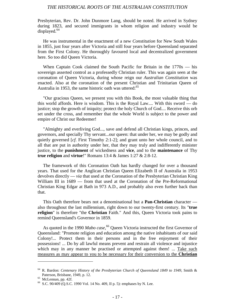Presbyterian, Rev. Dr. John Dunmore Lang, should be noted. He arrived in Sydney during 1823, and secured immigrants in whom religion and industry would be displayed.<sup>64</sup>

He was instrumental in the enactment of a new *Constitution* for New South Wales in 1855, just four years after Victoria and still four years before Queensland separated from the First Colony. He thoroughly favoured local and decentralized government here. So too did Queen Victoria.

When Captain Cook claimed the South Pacific for Britain in the 1770s — his sovereign asserted control as a professedly Christian ruler. This was again seen at the coronation of Queen Victoria, during whose reign our *Australian Constitution* was enacted. Also at the coronation of the present Christian and Trinitarian Queen of Australia in 1953, the same historic oath was uttered: $65$ 

"Our gracious Queen, we present you with this Book, the most valuable thing that this world affords. Here is wisdom. This is the Royal Law.... With this sword — do justice; stop the growth of iniquity; protect the holy Church of God.... Receive this orb set under the cross, and remember that the whole World is subject to the power and empire of Christ our Redeemer!

"Almighty and everliving God..., save and defend all Christian kings, princes, and governors, and specially Thy servant...our queen: that under her, we may be godly and quietly governed [*cf*. First Timothy 2:1-2]; and grant unto her whole council, and to all that are put in authority under her, that they may truly and indifferently minister justice, to the **punishment** of wickedness and **vice**, and to the **maintenance** of Thy **true religion** and **virtue**!" Romans 13:4 & James 1:27 & 2:8-12.

The framework of this Coronation Oath has hardly changed for over a thousand years. That used for the Anglican Christian Queen Elizabeth II of Australia in 1953 devolves directly — *via* that used at the Coronation of the Presbyterian Christian King William III in 1689 — from that used at the Coronation of the Pre-Reformational Christian King Edgar at Bath in 973 A.D., and probably also even further back than that.

This Oath therefore bears not a denominational but a **Pan-Christian** character also throughout the last millennium, right down to our twenty-first century. Its "**true religion**" is therefore "the **Christian** Faith." And this, Queen Victoria took pains to remind Queensland's Governor in 1859.

As quoted in the 1990 *Mabo case*, 66 Queen Victoria instructed the first Governor of Queensland: "Promote religion and education among the native inhabitants of our said Colony!... Protect them in their persons and in the free enjoyment of their possessions! ... Do by all lawful means prevent and restrain all violence and injustice which may in any manner be practised or attempted against them! ... Take such measures as may appear to you to be necessary for their conversion to the **Christian**

<sup>64</sup> R. Bardon: *Centenary History of the Presbyterian Church of Queensland 1849 to 1949*, Smith & Paterson, Brisbane, 1949, p. 12.<br>
<sup>65</sup> McLennan, pp. 42f.<br>
<sup>66</sup> S.C. 90/409 (O.S.C. 1990 Vol. 14 No. 409, II p. 5): emphases by N. Lee.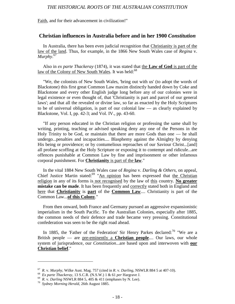Faith, and for their advancement in civilization!"

## **Christian influences in Australia before and in her 1900** *Constitution*

In Australia, there has been even judicial recognition that Christianity is part of the law of the land. Thus, for example, in the 1866 New South Wales case of *Regina* v. *Murphy*. 67

Also in *ex parte Thackeray* (1874), it was stated that the **Law of God** is part of the law of the Colony of New South Wales. It was held:<sup>68</sup>

"We, the colonists of New South Wales, 'bring out with us' (to adopt the words of Blackstone) this first great Common Law maxim distinctly handed down by Coke and Blackstone and every other English judge long before any of our colonies were in legal existence or even thought of, that 'Christianity is part and parcel of our general laws'; and that all the revealed or divine law, so far as enacted by the Holy Scriptures to be of universal obligation, is part of our colonial law — as clearly explained by Blackstone, Vol. I, pp. 42-3; and Vol. IV., pp. 43-60.

"If any person educated in the Christian religion or professing the same shall by writing, printing, teaching or advised speaking deny any one of the Persons in the Holy Trinity to be God, or maintain that there are more Gods than one — he shall undergo...penalties and incapacities.... Blasphemy against the Almighty by denying His being or providence; or by contumelious reproaches of our Saviour Christ...[and] all profane scoffing at the Holy Scripture or exposing it to contempt and ridicule...are offences punishable at Common Law by fine and imprisonment or other infamous corporal punishment. For **Christianity** is part of the **law**."

In the vital 1884 New South Wales case of *Regina* v. *Darling & Others*, on appeal, Chief Justice Martin stated: $69$  "An opinion has been expressed that the Christian religion in any of its forms is not recognised by the law of this country. **No greater mistake can be made**. It has been frequently and correctly stated both in England and here that **Christianity** is **part** of the **Common Law**.... Christianity is part of the Common Law...**of this Colony**."

From then onward, both France and Germany pursued an aggressive expansionistic imperialism in the South Pacific. To the Australian Colonies, especially after 1885, the common needs of their defence and trade became very pressing. Constitutional confederation was seen to be the right road ahead.

In 1885, the 'Father of the Federation' Sir Henry Parkes declared:<sup>70</sup> "We are a British people — are pre-eminently a **Christian people**.... Our laws, our whole system of jurisprudence, our *Constitution*...are based upon and interwoven with **our Christian belief**."

<sup>&</sup>lt;sup>67</sup> R. v. Murphy, Wilke Aust. Mag. 757 (cited in R. v. Darling, NSWLR 884 5 at 407-10).<br><sup>68</sup> Ex parte Thackeray, 13 S.C.R. (N.S.W.) 1 & 61 per Hargrave J.<br><sup>69</sup> R. v. Darling NSWLR 884 5, 405 & 411 (emphases by N. Lee).<br><sup></sup>